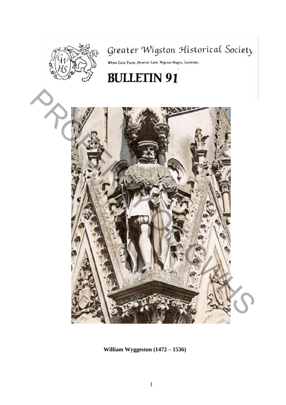

# Greater Wigston Historical Society

White Gate Farm, Newton Lane, Wigston Magna, Leicester.

# **BULLETIN 91**



**William Wyggeston (1472 – 1536)**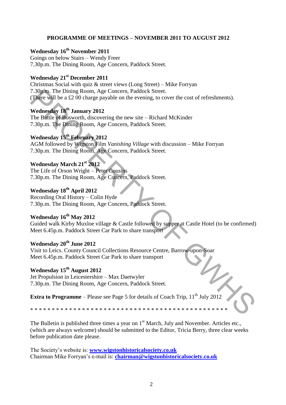## **PROGRAMME OF MEETINGS – NOVEMBER 2011 TO AUGUST 2012**

# **Wednesday 16th November 2011**

Goings on below Stairs – Wendy Freer 7.30p.m. The Dining Room, Age Concern, Paddock Street.

## **Wednesday 21st December 2011**

Christmas Social with quiz & street views (Long Street) – Mike Forryan 7.30p.m. The Dining Room, Age Concern, Paddock Street. (There will be a £2 00 charge payable on the evening, to cover the cost of refreshments).

**Wednesday 18th January 2012**  The Battle of Bosworth, discovering the new site – Richard McKinder 7.30p.m. The Dining Room, Age Concern, Paddock Street.

# **Wednesday 15th February 2012**

AGM followed by Wigston Film *Vanishing Village* with discussion – Mike Forryan 7.30p.m. The Dining Room, Age Concern, Paddock Street.

# **Wednesday March 21st 2012**

The Life of Orson Wright – Peter Cousins 7.30p.m. The Dining Room, Age Concern, Paddock Street.

# **Wednesday 18th April 2012**

Recording Oral History – Colin Hyde 7.30p.m. The Dining Room, Age Concern, Paddock Street.

## **Wednesday 16th May 2012**

Guided walk Kirby Muxloe village & Castle followed by supper at Castle Hotel (to be confirmed) Meet 6.45p.m. Paddock Street Car Park to share transport 7.30pm. The Dining Room, Age Concern, Paddock Street.<br>
The proper Will be a £2.00 charge payable on the evening, to cover the cost of refreshments).<br> **Wednesday 18<sup>th</sup> January 2012**<br>
The Battle of Bosworth, discovering th

# **Wednesday 20th June 2012**

Visit to Leics. County Council Collections Resource Centre, Barrow-upon-Soar Meet 6.45p.m. Paddock Street Car Park to share transport

# **Wednesday 15th August 2012**

Jet Propulsion in Leicestershire – Max Daetwyler 7.30p.m. The Dining Room, Age Concern, Paddock Street.

**Extra to Programme** – Please see Page 5 for details of Coach Trip,  $11<sup>th</sup>$  July 2012

\* \* \* \* \* \* \* \* \* \* \* \* \* \* \* \* \* \* \* \* \* \* \* \* \* \* \* \* \* \* \* \* \* \* \* \* \* \* \* \* \* \* \* \* \* \*

The Bulletin is published three times a year on  $1<sup>st</sup>$  March, July and November. Articles etc., (which are always welcome) should be submitted to the Editor, Tricia Berry, three clear weeks before publication date please.

The Society"s website is: **[www.wigstonhistoricalsociety.co.uk](http://www.wigstonhistoricalsociety.co.uk/)** Chairman Mike Forryan"s e-mail is: **[chairman@wigstonhistoricalsociety.co.uk](mailto:chairman@wigstonhistoricalsociety.co.uk)**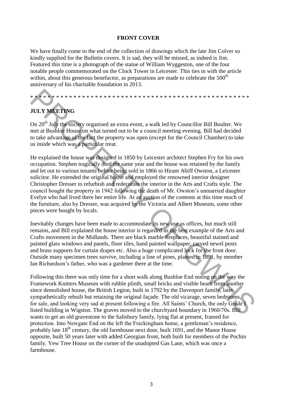## **FRONT COVER**

We have finally come to the end of the collection of drawings which the late Jim Colver so kindly supplied for the Bulletin covers. It is sad, they will be missed, as indeed is Jim. Featured this time is a photograph of the statue of William Wyggeston, one of the four notable people commemorated on the Clock Tower in Leicester. This ties in with the article within, about this generous benefactor, as preparations are made to celebrate the  $500<sup>th</sup>$ anniversary of his charitable foundation in 2013.

# \* \* \* \* \* \* \* \* \* \* \* \* \* \* \* \* \* \* \* \* \* \* \* \* \* \* \* \* \* \* \* \* \* \* \* \* \* \* \* \* \* \* \* \* \* \* \* \* \* \* \*

# **JULY MEETING**

On 20<sup>th</sup> July the society organised an extra event, a walk led by Councillor Bill Boulter. We met at Bushloe House on what turned out to be a council meeting evening. Bill had decided to take advantage of the fact the property was open (except for the Council Chamber) to take us inside which was a particular treat.

He explained the house was designed in 1850 by Leicester architect Stephen Fry for his own occupation. Stephen tragically died the same year and the house was retained by the family and let out to various tenants before being sold in 1866 to Hiram Abiff Owston, a Leicester solicitor. He extended the original house and employed the renowned interior designer Christopher Dresser to refurbish and redecorate the interior in the Arts and Crafts style. The council bought the property in 1942 following the death of Mr. Owston"s unmarried daughter Evelyn who had lived there her entire life. At an auction of the contents at this time much of the furniture, also by Dresser, was acquired by the Victoria and Albert Museum, some other pieces were bought by locals. **A SURFACE ALT ANTIFICATE CONDUCT THE CONDUCTE THE CONDUCT THE STATE (SOFT) IN THE STATE (SOFT) IN THE STATE (SOFT) IN THE STATE (SOFT) IN THE STATE (SOFT) IN THE STATE (SOFT) IN THE STATE (SOFT) IN THE STATE (SOFT) IN TH** 

Inevitably changes have been made to accommodate its new use as offices, but much still remains, and Bill explained the house interior is regarded as the best example of the Arts and Crafts movement in the Midlands. There are black marble fireplaces, beautiful stained and painted glass windows and panels, floor tiles, hand painted wallpaper, carved newel posts and brass supports for curtain drapes etc. Also a huge complicated lock for the front door. Outside many specimen trees survive, including a line of pines, planted in 1891, by member Ian Richardson"s father, who was a gardener there at the time.

Following this there was only time for a short walk along Bushloe End noting on the way the Framework Knitters Museum with rubble plinth, small bricks and visible beam from another since demolished house, the British Legion, built in 1792 by the Davenport family, later sympathetically rebuilt but retaining the original façade. The old vicarage, seven bedrooms, for sale, and looking very sad at present following a fire. All Saints" Church, the only Grade I listed building in Wigston. The graves moved to the churchyard boundary in 1960/70s. Bill wants to get an old gravestone to the Salisbury family, lying flat at present, framed for protection. Into Newgate End on the left the Freckingham home, a gentleman"s residence, probably late  $18<sup>th</sup>$  century, the old farmhouse next door, built 1691, and the Manor House opposite, built 50 years later with added Georgian front, both built for members of the Pochin family. Yew Tree House on the corner of the unadopted Gas Lane, which was once a farmhouse.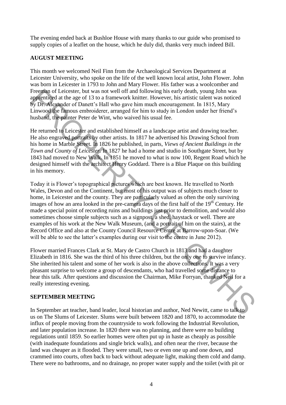The evening ended back at Bushloe House with many thanks to our guide who promised to supply copies of a leaflet on the house, which he duly did, thanks very much indeed Bill.

# **AUGUST MEETING**

This month we welcomed Neil Finn from the Archaeological Services Department at Leicester University, who spoke on the life of the well known local artist, John Flower. John was born in Leicester in 1793 to John and Mary Flower. His father was a woolcomber and Freeman of Leicester, but was not well off and following his early death, young John was apprenticed at the age of 13 to a framework knitter. However, his artistic talent was noticed by Dr. Alexander of Danett"s Hall who gave him much encouragement. In 1815, Mary Linwood the famous embroiderer, arranged for him to study in London under her friend"s husband, the painter Peter de Wint, who waived his usual fee.

He returned to Leicester and established himself as a landscape artist and drawing teacher. He also engraved portraits by other artists. In 1817 he advertised his Drawing School from his home in Marble Street. In 1826 he published, in parts, *Views of Ancient Buildings in the Town and County of Leicester.* In 1827 he had a home and studio in Southgate Street, but by 1843 had moved to New Walk. In 1851 he moved to what is now 100, Regent Road which he designed himself with the architect Henry Goddard. There is a Blue Plaque on this building in his memory.

Today it is Flower"s topographical pictures which are best known. He travelled to North Wales, Devon and on the Continent, but most of his output was of subjects much closer to home, in Leicester and the county. They are particularly valued as often the only surviving images of how an area looked in the pre-camera days of the first half of the 19<sup>th</sup> Century. He made a special point of recording ruins and buildings just prior to demolition, and would also sometimes choose simple subjects such as a signpost, a shed, haystack or well. There are examples of his work at the New Walk Museum, (and a portrait of him on the stairs), at the Record Office and also at the County Council Resource Centre at Barrow-upon-Soar. (We will be able to see the latter's examples during our visit to the centre in June 2012). Freentin of Leitester, but was not well of and following his early death, young John was not<br>eappenticed at the age of 13 to a framework knitter. However, his artistic talent was noticed<br>by Dr. Alexander of Dancit's Hall w

Flower married Frances Clark at St. Mary de Castro Church in 1813 and had a daughter Elizabeth in 1816. She was the third of his three children, but the only one to survive infancy. She inherited his talent and some of her work is also in the above collections. It was a very pleasant surprise to welcome a group of descendants, who had travelled some distance to hear this talk. After questions and discussion the Chairman, Mike Forryan, thanked Neil for a really interesting evening.

## **SEPTEMBER MEETING**

In September art teacher, band leader, local historian and author, Ned Newitt, came to talk to us on The Slums of Leicester. Slums were built between 1820 and 1870, to accommodate the influx of people moving from the countryside to work following the Industrial Revolution, and later population increase. In 1820 there was no planning, and there were no building regulations until 1859. So earlier homes were often put up in haste as cheaply as possible (with inadequate foundations and single brick walls), and often near the river, because the land was cheaper as it flooded. They were small, two or even one up and one down, and crammed into courts, often back to back without adequate light, making them cold and damp. There were no bathrooms, and no drainage, no proper water supply and the toilet (with pit or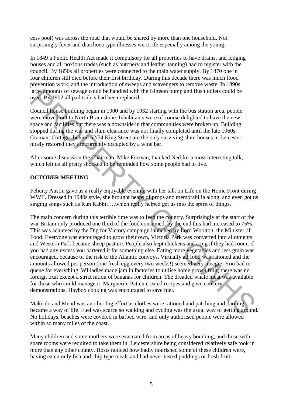cess pool) was across the road that would be shared by more than one household. Not surprisingly fever and diarrhoea type illnesses were rife especially among the young.

In 1849 a Public Health Act made it compulsory for all properties to have drains, and lodging houses and all noxious trades (such as butchery and leather tanning) had to register with the council. By 1850s all properties were connected to the main water supply. By 1870 one in four children still died before their first birthday. During this decade there was much flood prevention work, and the introduction of sweeps and scavengers to remove waste. In 1890s large amounts of sewage could be handled with the Gimson pump and flush toilets could be used. By 1902 all pail toilets had been replaced.

Council house building began in 1900 and by 1932 starting with the bus station area, people were moved out to North Braunstone. Inhabitants were of course delighted to have the new space and facilities but there was a downside in that communities were broken up. Building stopped during the war and slum clearance was not finally completed until the late 1960s. Cramant Cottages behind 52/54 King Street are the only surviving slum houses in Leicester, nicely restored they are currently occupied by a wine bar.

After some discussion the Chairman, Mike Forryan, thanked Ned for a most interesting talk, which left us all pretty shocked to be reminded how some people had to live.

# **OCTOBER MEETING**

Felicity Austin gave us a really enjoyable evening with her talk on Life on the Home Front during WWII. Dressed in 1940s style, she brought heaps of props and memorabilia along, and even got us singing songs such as Run Rabbit….which really helped get us into the spirit of things.

The main concern during this terrible time was to feed the country. Surprisingly at the start of the war Britain only produced one third of the food consumed, by the end this had increased to 75%. This was achieved by the Dig for Victory campaign launched by Lord Woolton, the Minister of Food. Everyone was encouraged to grow their own, Victoria Park was converted into allotments and Western Park became sheep pasture. People also kept chickens and a pig if they had room; if you had any excess you bartered it for something else. Eating more vegetables and less grain was encouraged, because of the risk to the Atlantic convoys. Virtually all food was rationed and the amounts allowed per person (one fresh egg every two weeks!) seemed very meagre. You had to queue for everything. WI ladies made jam in factories to utilise home grown fruit, there was no foreign fruit except a strict ration of bananas for children. The dreaded whale meat was available for those who could manage it. Marguerite Patten created recipes and gave cookery demonstrations. Haybox cooking was encouraged to save fuel. large amounts of sewage could be handled with the Gimson pump and flush toilets could be<br>used. By 902 all pail toilets had benndel with the Gimson pump and flush toilets could be<br>Council Pouse building began in 1900 and by

Make do and Mend was another big effort as clothes were rationed and patching and darning became a way of life. Fuel was scarce so walking and cycling was the usual way of getting around. No holidays, beaches were covered in barbed wire, and only authorised people were allowed within so many miles of the coast.

Many children and some mothers were evacuated from areas of heavy bombing, and those with spare rooms were required to take them in. Leicestershire being considered relatively safe took in more than any other county. Hosts noticed how badly nourished some of these children were, having eaten only fish and chip type meals and had never tasted puddings or fresh fruit.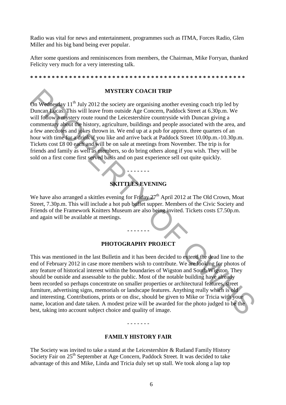Radio was vital for news and entertainment, programmes such as ITMA, Forces Radio, Glen Miller and his big band being ever popular.

After some questions and reminiscences from members, the Chairman, Mike Forryan, thanked Felicity very much for a very interesting talk.

**\* \* \* \* \* \* \* \* \* \* \* \* \* \* \* \* \* \* \* \* \* \* \* \* \* \* \* \* \* \* \* \* \* \* \* \* \* \* \* \* \* \* \* \* \* \* \* \* \* \*** 

#### **MYSTERY COACH TRIP**

On Wednesday  $11<sup>th</sup>$  July 2012 the society are organising another evening coach trip led by Duncan Lucas. This will leave from outside Age Concern, Paddock Street at 6.30p.m. We will follow a mystery route round the Leicestershire countryside with Duncan giving a commentary about the history, agriculture, buildings and people associated with the area, and a few anecdotes and jokes thrown in. We end up at a pub for approx. three quarters of an hour with time for a drink if you like and arrive back at Paddock Street 10.00p.m.-10.30p.m. Tickets cost £8 00 each and will be on sale at meetings from November. The trip is for friends and family as well as members, so do bring others along if you wish. They will be sold on a first come first served basis and on past experience sell out quite quickly. **EVALUATION**<br> **EVALUATION**<br> **EVALUATION**<br> **EVALUATION**<br> **EVALUATION**<br> **EVALUATION**<br> **EVALUATION**<br> **EVALUATION**<br> **EVALUATION**<br> **EVALUATION**<br> **EVALUATION**<br> **EVALUATION**<br> **EVALUATION**<br> **EVALUATION**<br> **EVALUATION**<br> **EVALUATION** 

# **SKITTLES EVENING**

**- - - - - - -** 

We have also arranged a skittles evening for Friday  $27<sup>th</sup>$  April 2012 at The Old Crown, Moat Street, 7.30p.m. This will include a hot pub buffet supper. Members of the Civic Society and Friends of the Framework Knitters Museum are also being invited. Tickets costs £7.50p.m. and again will be available at meetings.

#### **PHOTOGRAPHY PROJECT**

**- - - - - - -** 

This was mentioned in the last Bulletin and it has been decided to extend the dead line to the end of February 2012 in case more members wish to contribute. We are looking for photos of any feature of historical interest within the boundaries of Wigston and South Wigston. They should be outside and assessable to the public. Most of the notable building have already been recorded so perhaps concentrate on smaller properties or architectural features, street furniture, advertising signs, memorials or landscape features. Anything really which is old and interesting. Contributions, prints or on disc, should be given to Mike or Tricia with your name, location and date taken. A modest prize will be awarded for the photo judged to be the best, taking into account subject choice and quality of image.

#### - - - - - - -

#### **FAMILY HISTORY FAIR**

The Society was invited to take a stand at the Leicestershire & Rutland Family History Society Fair on 25<sup>th</sup> September at Age Concern, Paddock Street. It was decided to take advantage of this and Mike, Linda and Tricia duly set up stall. We took along a lap top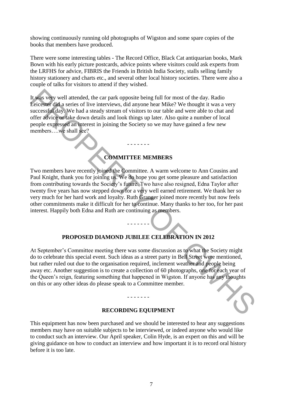showing continuously running old photographs of Wigston and some spare copies of the books that members have produced.

There were some interesting tables - The Record Office, Black Cat antiquarian books, Mark Bown with his early picture postcards, advice points where visitors could ask experts from the LRFHS for advice, FIBRIS the Friends in British India Society, stalls selling family history stationery and charts etc., and several other local history societies. There were also a couple of talks for visitors to attend if they wished.

It was very well attended, the car park opposite being full for most of the day. Radio Leicester did a series of live interviews, did anyone hear Mike? We thought it was a very successful day. We had a steady stream of visitors to our table and were able to chat and offer advice or take down details and look things up later. Also quite a number of local people expressed an interest in joining the Society so we may have gained a few new members….we shall see?

# **COMMITTEE MEMBERS**

- - - - - - -

Two members have recently joined the Committee. A warm welcome to Ann Cousins and Paul Knight, thank you for joining us. We do hope you get some pleasure and satisfaction from contributing towards the Society"s future. Two have also resigned, Edna Taylor after twenty five years has now stepped down for a very well earned retirement. We thank her so very much for her hard work and loyalty. Ruth Granger joined more recently but now feels other commitments make it difficult for her to continue. Many thanks to her too, for her past interest. Happily both Edna and Ruth are continuing as members. It was very well attended, the car park opposite being full for most of the day. Radio<br>
Leicester did serists of live interviews, did anyone hear Mike? We thought it was a very<br>
Leicester did seriste of live interviews, di

## **PROPOSED DIAMOND JUBILEE CELEBRATION IN 2012**

- - - - - - -

At September"s Committee meeting there was some discussion as to what the Society might do to celebrate this special event. Such ideas as a street party in Bell Street were mentioned, but rather ruled out due to the organisation required, inclement weather and people being away etc. Another suggestion is to create a collection of 60 photographs, one for each year of the Queen"s reign, featuring something that happened in Wigston. If anyone has any thoughts on this or any other ideas do please speak to a Committee member.

#### **RECORDING EQUIPMENT**

- - - - - - -

This equipment has now been purchased and we should be interested to hear any suggestions members may have on suitable subjects to be interviewed, or indeed anyone who would like to conduct such an interview. Our April speaker, Colin Hyde, is an expert on this and will be giving guidance on how to conduct an interview and how important it is to record oral history before it is too late.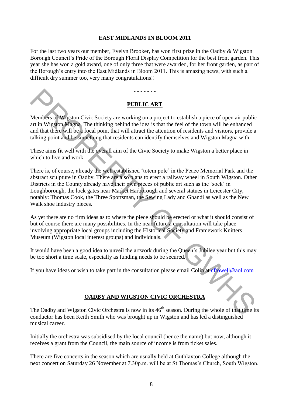## **EAST MIDLANDS IN BLOOM 2011**

For the last two years our member, Evelyn Brooker, has won first prize in the Oadby & Wigston Borough Council"s Pride of the Borough Floral Display Competition for the best front garden. This year she has won a gold award, one of only three that were awarded, for her front garden, as part of the Borough"s entry into the East Midlands in Bloom 2011. This is amazing news, with such a difficult dry summer too, very many congratulations!!

## **PUBLIC ART**

- - - - - - -

Members of Wigston Civic Society are working on a project to establish a piece of open air public art in Wigston Magna. The thinking behind the idea is that the feel of the town will be enhanced and that there will be a focal point that will attract the attention of residents and visitors, provide a talking point and be something that residents can identify themselves and Wigston Magna with.

These aims fit well with the overall aim of the Civic Society to make Wigston a better place in which to live and work.

There is, of course, already the well established "totem pole" in the Peace Memorial Park and the abstract sculpture in Oadby. There are also plans to erect a railway wheel in South Wigston. Other Districts in the County already have their own pieces of public art such as the "sock" in Loughborough, the lock gates near Market Harborough and several statues in Leicester City, notably: Thomas Cook, the Three Sportsman, the Sewing Lady and Ghandi as well as the New Walk shoe industry pieces. **PERION ART**<br> **PERION ART**<br>
Members of [W](mailto:cftowell@aol.com)igston Civic Society are vorbing on a project to establish a piece of open air public<br>
and this Wigston Magna. The thinking behind the idea is that the feel of the town will be chhar

As yet there are no firm ideas as to where the piece should be erected or what it should consist of but of course there are many possibilities. In the near future a consultation will take place involving appropriate local groups including the Historical Society and Framework Knitters Museum (Wigston local interest groups) and individuals.

It would have been a good idea to unveil the artwork during the Queen"s Jubilee year but this may be too short a time scale, especially as funding needs to be secured.

If you have ideas or wish to take part in the consultation please email Colin at cftowell@aol.com

#### - - - - - - -

# **OADBY AND WIGSTON CIVIC ORCHESTRA**

The Oadby and Wigston Civic Orchestra is now in its  $46<sup>th</sup>$  season. During the whole of that time its conductor has been Keith Smith who was brought up in Wigston and has led a distinguished musical career.

Initially the orchestra was subsidised by the local council (hence the name) but now, although it receives a grant from the Council, the main source of income is from ticket sales.

There are five concerts in the season which are usually held at Guthlaxton College although the next concert on Saturday 26 November at 7.30p.m. will be at St Thomas's Church, South Wigston.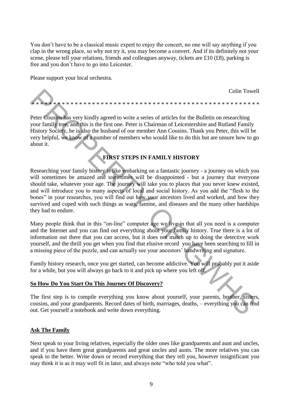You don"t have to be a classical music expert to enjoy the concert, no one will say anything if you clap in the wrong place, so why not try it, you may become a convert. And if its definitely not your scene, please tell your relations, friends and colleagues anyway, tickets are £10 (£8), parking is free and you don"t have to go into Leicester.

Please support your local orchestra.

Colin Towell \* \* \* \* \* \* \* \* \* \* \* \* \* \* \* \* \* \* \* \* \* \* \* \* \* \* \* \* \* \* \* \* \* \* \* \* \* \* \* \* \* \* \* \* \* \* \* \* \* \* \* \* \*

Peter Cousins has very kindly agreed to write a series of articles for the Bulletin on researching your family tree, and this is the first one. Peter is Chairman of Leicestershire and Rutland Family History Society, he is also the husband of our member Ann Cousins. Thank you Peter, this will be very helpful, we know of a number of members who would like to do this but are unsure how to go about it.

# **FIRST STEPS IN FAMILY HISTORY**

Researching your family history is like embarking on a fantastic journey - a journey on which you will sometimes be amazed and sometimes will be disappointed - but a journey that everyone should take, whatever your age. The journey will take you to places that you never knew existed, and will introduce you to many aspects of local and social history. As you add the "flesh to the bones" in your researches, you will find out how your ancestors lived and worked, and how they survived and coped with such things as wars, famine, and diseases and the many other hardships they had to endure. Colin Towel<br>
Year Coustines are well as well as well as well as well as well as well as the second that we are the second to the second the second that the second the second the second the second History Society, he is als

Many people think that in this "on-line" computer age we live in that all you need is a computer and the Internet and you can find out everything about your family history. True there is a lot of information out there that you can access, but it does not match up to doing the detective work yourself, and the thrill you get when you find that elusive record you have been searching to fill in a missing piece of the puzzle, and can actually see your ancestors" handwriting and signature.

Family history research, once you get started, can become addictive. You will probably put it aside for a while, but you will always go back to it and pick up where you left off.

## **So How Do You Start On This Journey Of Discovery?**

The first step is to compile everything you know about yourself, your parents, brother, sisters, cousins, and your grandparents. Record dates of birth, marriages, deaths, – everything you can find out. Get yourself a notebook and write down everything.

## **Ask The Family**

Next speak to your living relatives, especially the older ones like grandparents and aunt and uncles, and if you have them great grandparents and great uncles and aunts. The more relatives you can speak to the better. Write down or record everything that they tell you, however insignificant you may think it is as it may well fit in later, and always note "who told you what".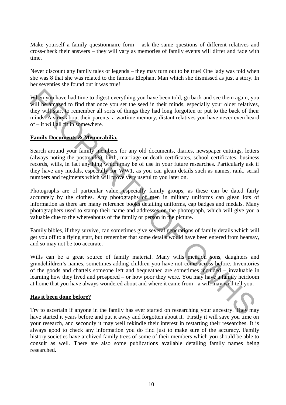Make yourself a family questionnaire form – ask the same questions of different relatives and cross-check their answers – they will vary as memories of family events will differ and fade with time.

Never discount any family tales or legends – they may turn out to be true! One lady was told when she was 8 that she was related to the famous Elephant Man which she dismissed as just a story. In her seventies she found out it was true!

When you have had time to digest everything you have been told, go back and see them again, you will be amazed to find that once you set the seed in their minds, especially your older relatives, they will start to remember all sorts of things they had long forgotten or put to the back of their minds. A story about their parents, a wartime memory, distant relatives you have never even heard of – it will all fit in somewhere.

## **Family Documents & Memorabilia.**

Search around your family members for any old documents, diaries, newspaper cuttings, letters (always noting the postmarks), birth, marriage or death certificates, school certificates, business records, wills, in fact anything which may be of use in your future researches. Particularly ask if they have any medals, especially for WW1, as you can glean details such as names, rank, serial numbers and regiments which will prove very useful to you later on.

Photographs are of particular value, especially family groups, as these can be dated fairly accurately by the clothes. Any photographs of men in military uniforms can glean lots of information as there are many reference books detailing uniforms, cap badges and medals. Many photographers used to stamp their name and addresses on the photograph, which will give you a valuable clue to the whereabouts of the family or person in the picture.

Family bibles, if they survive, can sometimes give several generations of family details which will get you off to a flying start, but remember that some details would have been entered from hearsay, and so may not be too accurate.

Wills can be a great source of family material. Many wills mention sons, daughters and grandchildren"s names, sometimes adding children you have not come across before. Inventories of the goods and chattels someone left and bequeathed are sometimes included – invaluable in learning how they lived and prospered – or how poor they were. You may have a family heirloom at home that you have always wondered about and where it came from - a will may well tell you. When you have had time to digest everything you have been told, go back and see them again, youll be smalled to find that once you set the seed in their unids, especially your older relatives will be smalled to find that

## **Has it been done before?**

Try to ascertain if anyone in the family has ever started on researching your ancestry. They may have started it years before and put it away and forgotten about it. Firstly it will save you time on your research, and secondly it may well rekindle their interest in restarting their researches. It is always good to check any information you do find just to make sure of the accuracy. Family history societies have archived family trees of some of their members which you should be able to consult as well. There are also some publications available detailing family names being researched.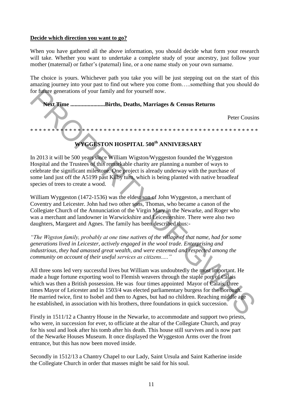### **Decide which direction you want to go?**

When you have gathered all the above information, you should decide what form your research will take. Whether you want to undertake a complete study of your ancestry, just follow your mother (maternal) or father"s (paternal) line, or a one name study on your own surname.

The choice is yours. Whichever path you take you will be just stepping out on the start of this amazing journey into your past to find out where you come from…..something that you should do for future generations of your family and for yourself now.

**Next Time ........................Births, Deaths, Marriages & Census Returns**  Peter Cousins \* \* \* \* \* \* \* \* \* \* \* \* \* \* \* \* \* \* \* \* \* \* \* \* \* \* \* \* \* \* \* \* \* \* \* \* \* \* \* \* \* \* \* \* \* \* \* \* \* \* \* \* \* For the example and the serves through the serves through the serves of the serves of the serves of the serves of the serves of the serves of the serves of the serves of the serves of the serves of the serves of the serves

# **WYGGESTON HOSPITAL 500th ANNIVERSARY**

In 2013 it will be 500 years since William Wigston/Wyggeston founded the Wyggeston Hospital and the Trustees of this remarkable charity are planning a number of ways to celebrate the significant milestone. One project is already underway with the purchase of some land just off the A5199 past Kilby turn, which is being planted with native broadleaf species of trees to create a wood.

William Wyggeston (1472-1536) was the eldest son of John Wyggeston, a merchant of Coventry and Leicester. John had two other sons, Thomas, who became a canon of the Collegiate Church of the Annunciation of the Virgin Mary in the Newarke, and Roger who was a merchant and landowner in Warwickshire and Leicestershire. There were also two daughters, Margaret and Agnes. The family has been described thus:-

*"The Wigston family, probably at one time natives of the village of that name, had for some generations lived in Leicester, actively engaged in the wool trade. Enterprising and industrious, they had amassed great wealth, and were esteemed and respected among the community on account of their useful services as citizens....."*

All three sons led very successful lives but William was undoubtedly the most important. He made a huge fortune exporting wool to Flemish weavers through the staple port of Calais which was then a British possession. He was four times appointed Mayor of Calais, three times Mayor of Leicester and in 1503/4 was elected parliamentary burgess for the Borough. He married twice, first to Isobel and then to Agnes, but had no children. Reaching middle age he established, in association with his brothers, three foundations in quick succession.

Firstly in 1511/12 a Chantry House in the Newarke, to accommodate and support two priests, who were, in succession for ever, to officiate at the altar of the Collegiate Church, and pray for his soul and look after his tomb after his death. This house still survives and is now part of the Newarke Houses Museum. It once displayed the Wyggeston Arms over the front entrance, but this has now been moved inside.

Secondly in 1512/13 a Chantry Chapel to our Lady, Saint Ursula and Saint Katherine inside the Collegiate Church in order that masses might be said for his soul.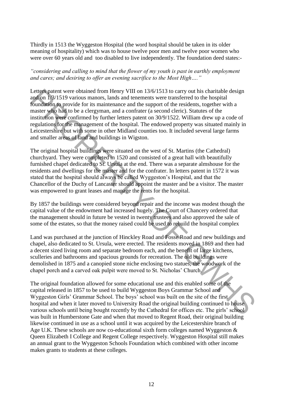Thirdly in 1513 the Wyggeston Hospital (the word hospital should be taken in its older meaning of hospitality) which was to house twelve poor men and twelve poor women who were over 60 years old and too disabled to live independently. The foundation deed states:-

*"considering and calling to mind that the flower of my youth is past in earthly employment and cares; and desiring to offer an evening sacrifice to the Most High…."*

Letters patent were obtained from Henry VIII on 13/6/1513 to carry out his charitable design and on 1/3/1519 various manors, lands and tenements were transferred to the hospital foundation to provide for its maintenance and the support of the residents, together with a master who had to be a clergyman, and a confrater (a second cleric). Statutes of the institution were confirmed by further letters patent on 30/9/1522. William drew up a code of regulations for the management of the hospital. The endowed property was situated mainly in Leicestershire but with some in other Midland counties too. It included several large farms and smaller areas of land and buildings in Wigston. Letter per obtained from Henry VIII on 13/6/1513 to carry out his chartacted per and<br>and on Pa<sup>2</sup>/1519 various manors, lands and nenements were transferred to the hospital<br>from and on Pa<sup>2</sup>/1519 various manors, lands and

The original hospital buildings were situated on the west of St. Martins (the Cathedral) churchyard. They were completed in 1520 and consisted of a great hall with beautifully furnished chapel dedicated to St. Ursula at the end. There was a separate almshouse for the residents and dwellings for the master and for the confrater. In letters patent in 1572 it was stated that the hospital should always be called Wyggeston"s Hospital, and that the Chancellor of the Duchy of Lancaster should appoint the master and be a visitor. The master was empowered to grant leases and manage the rents for the hospital.

By 1857 the buildings were considered beyond repair and the income was modest though the capital value of the endowment had increased hugely. The Court of Chancery ordered that the management should in future be vested in twenty trustees and also approved the sale of some of the estates, so that the money raised could be used to rebuild the hospital complex

Land was purchased at the junction of Hinckley Road and Fosse Road and new buildings and chapel, also dedicated to St. Ursula, were erected. The residents moved in 1869 and then had a decent sized living room and separate bedroom each, and the benefit of large kitchens, sculleries and bathrooms and spacious grounds for recreation. The old buildings were demolished in 1875 and a canopied stone niche enclosing two statues, the woodwork of the chapel porch and a carved oak pulpit were moved to St. Nicholas' Church.

The original foundation allowed for some educational use and this enabled some of the capital released in 1857 to be used to build Wyggeston Boys Grammar School and Wyggeston Girls' Grammar School. The boys' school was built on the site of the first hospital and when it later moved to University Road the original building continued to house various schools until being bought recently by the Cathedral for offices etc. The girls' school was built in Humberstone Gate and when that moved to Regent Road, their original building likewise continued in use as a school until it was acquired by the Leicestershire branch of Age U.K. These schools are now co-educational sixth form colleges named Wyggeston  $\&$ Queen Elizabeth I College and Regent College respectively. Wyggeston Hospital still makes an annual grant to the Wyggeston Schools Foundation which combined with other income makes grants to students at these colleges.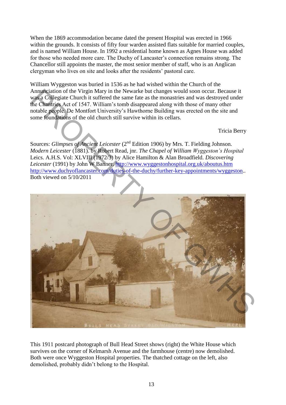When the 1869 accommodation became dated the present Hospital was erected in 1966 within the grounds. It consists of fifty four warden assisted flats suitable for married couples, and is named William House. In 1992 a residential home known as Agnes House was added for those who needed more care. The Duchy of Lancaster's connection remains strong. The Chancellor still appoints the master, the most senior member of staff, who is an Anglican clergyman who lives on site and looks after the residents' pastoral care.

William Wyggeston was buried in 1536 as he had wished within the Church of the Annunciation of the Virgin Mary in the Newarke but changes would soon occur. Because it was a Collegiate Church it suffered the same fate as the monastries and was destroyed under the Chantries Act of 1547. William"s tomb disappeared along with those of many other notable people. De Montfort University"s Hawthorne Building was erected on the site and some foundations of the old church still survive within its cellars.

Tricia Berry

Sources: *Glimpses of Ancient Leicester* (2<sup>nd</sup> Edition 1906) by Mrs. T. Fielding Johnson. *Modern Leicester* (1881). by Robert Read, jnr. *The Chapel of William Wyggeston's Hospital* Leics. A.H.S. Vol: XLVIII (1972/3) by Alice Hamilton & Alan Broadfield. *Discovering Leicester* (1991) by John W Banner. http://www.wyggestonhospital.org.uk/aboutus.htm http://www.duchyoflancaster.com/duties-of-the-duchy/further-key-appointments/wyggeston... Both viewed on 5/10/2011



This 1911 postcard photograph of Bull Head Street shows (right) the White House which survives on the corner of Kelmarsh Avenue and the farmhouse (centre) now demolished. Both were once Wyggeston Hospital properties. The thatched cottage on the left, also demolished, probably didn"t belong to the Hospital.